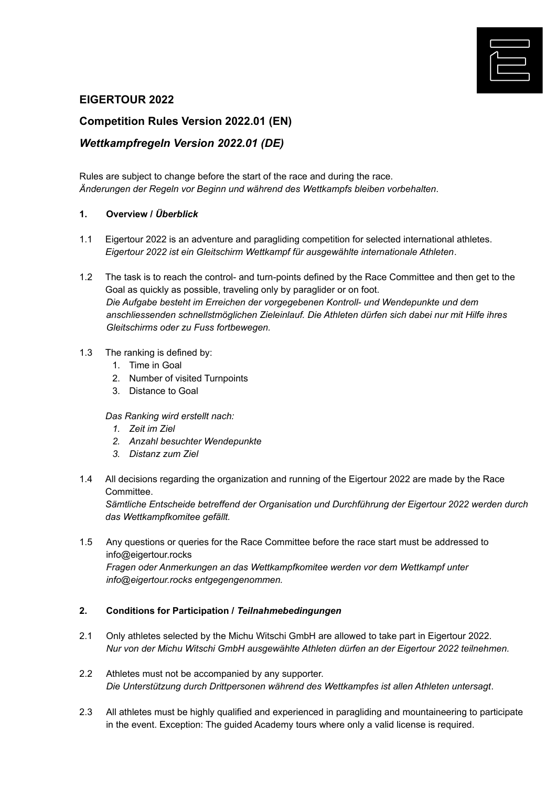

# **EIGERTOUR 2022**

# **Competition Rules Version 2022.01 (EN)**

# *Wettkampfregeln Version 2022.01 (DE)*

Rules are subject to change before the start of the race and during the race. *Änderungen der Regeln vor Beginn und während des Wettkampfs bleiben vorbehalten*.

#### **1. Overview /** *Überblick*

- 1.1 Eigertour 2022 is an adventure and paragliding competition for selected international athletes. *Eigertour 2022 ist ein Gleitschirm Wettkampf für ausgewählte internationale Athleten*.
- 1.2 The task is to reach the control- and turn-points defined by the Race Committee and then get to the Goal as quickly as possible, traveling only by paraglider or on foot. *Die Aufgabe besteht im Erreichen der vorgegebenen Kontroll- und Wendepunkte und dem anschliessenden schnellstmöglichen Zieleinlauf. Die Athleten dürfen sich dabei nur mit Hilfe ihres Gleitschirms oder zu Fuss fortbewegen.*

### 1.3 The ranking is defined by:

- 1. Time in Goal
- 2. Number of visited Turnpoints
- 3. Distance to Goal

#### *Das Ranking wird erstellt nach:*

- *1. Zeit im Ziel*
- *2. Anzahl besuchter Wendepunkte*
- *3. Distanz zum Ziel*
- 1.4 All decisions regarding the organization and running of the Eigertour 2022 are made by the Race Committee.

*Sämtliche Entscheide betreffend der Organisation und Durchführung der Eigertour 2022 werden durch das Wettkampfkomitee gefällt.*

1.5 Any questions or queries for the Race Committee before the race start must be addressed to info@eigertour.rocks *Fragen oder Anmerkungen an das Wettkampfkomitee werden vor dem Wettkampf unter info@eigertour.rocks entgegengenommen.*

#### **2. Conditions for Participation /** *Teilnahmebedingungen*

- 2.1 Only athletes selected by the Michu Witschi GmbH are allowed to take part in Eigertour 2022. *Nur von der Michu Witschi GmbH ausgewählte Athleten dürfen an der Eigertour 2022 teilnehmen.*
- 2.2 Athletes must not be accompanied by any supporter. *Die Unterstützung durch Drittpersonen während des Wettkampfes ist allen Athleten untersagt*.
- 2.3 All athletes must be highly qualified and experienced in paragliding and mountaineering to participate in the event. Exception: The guided Academy tours where only a valid license is required.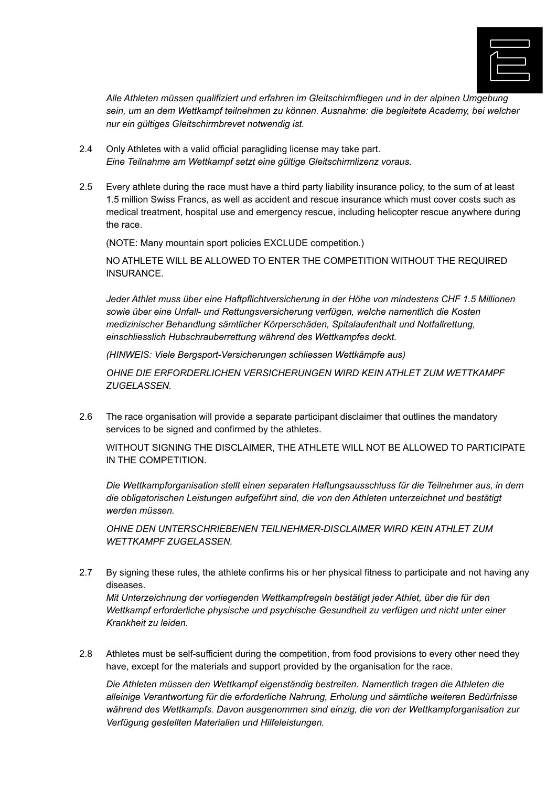

*Alle Athleten müssen qualifiziert und erfahren im Gleitschirmfliegen und in der alpinen Umgebung sein, um an dem Wettkampf teilnehmen zu können. Ausnahme: die begleitete Academy, bei welcher nur ein gültiges Gleitschirmbrevet notwendig ist.*

- 2.4 Only Athletes with a valid official paragliding license may take part. *Eine Teilnahme am Wettkampf setzt eine gültige Gleitschirmlizenz voraus.*
- 2.5 Every athlete during the race must have a third party liability insurance policy, to the sum of at least 1.5 million Swiss Francs, as well as accident and rescue insurance which must cover costs such as medical treatment, hospital use and emergency rescue, including helicopter rescue anywhere during the race.

(NOTE: Many mountain sport policies EXCLUDE competition.)

NO ATHLETE WILL BE ALLOWED TO ENTER THE COMPETITION WITHOUT THE REQUIRED INSURANCE.

*Jeder Athlet muss über eine Haftpflichtversicherung in der Höhe von mindestens CHF 1.5 Millionen sowie über eine Unfall- und Rettungsversicherung verfügen, welche namentlich die Kosten medizinischer Behandlung sämtlicher Körperschäden, Spitalaufenthalt und Notfallrettung, einschliesslich Hubschrauberrettung während des Wettkampfes deckt.*

*(HINWEIS: Viele Bergsport-Versicherungen schliessen Wettkämpfe aus)*

*OHNE DIE ERFORDERLICHEN VERSICHERUNGEN WIRD KEIN ATHLET ZUM WETTKAMPF ZUGELASSEN.*

2.6 The race organisation will provide a separate participant disclaimer that outlines the mandatory services to be signed and confirmed by the athletes.

WITHOUT SIGNING THE DISCLAIMER, THE ATHLETE WILL NOT BE ALLOWED TO PARTICIPATE IN THE COMPETITION.

*Die Wettkampforganisation stellt einen separaten Haftungsausschluss für die Teilnehmer aus, in dem die obligatorischen Leistungen aufgeführt sind, die von den Athleten unterzeichnet und bestätigt werden müssen.*

*OHNE DEN UNTERSCHRIEBENEN TEILNEHMER-DISCLAIMER WIRD KEIN ATHLET ZUM WETTKAMPF ZUGELASSEN.*

2.7 By signing these rules, the athlete confirms his or her physical fitness to participate and not having any diseases.

*Mit Unterzeichnung der vorliegenden Wettkampfregeln bestätigt jeder Athlet, über die für den Wettkampf erforderliche physische und psychische Gesundheit zu verfügen und nicht unter einer Krankheit zu leiden.*

2.8 Athletes must be self-sufficient during the competition, from food provisions to every other need they have, except for the materials and support provided by the organisation for the race.

*Die Athleten müssen den Wettkampf eigenständig bestreiten. Namentlich tragen die Athleten die alleinige Verantwortung für die erforderliche Nahrung, Erholung und sämtliche weiteren Bedürfnisse während des Wettkampfs. Davon ausgenommen sind einzig, die von der Wettkampforganisation zur Verfügung gestellten Materialien und Hilfeleistungen.*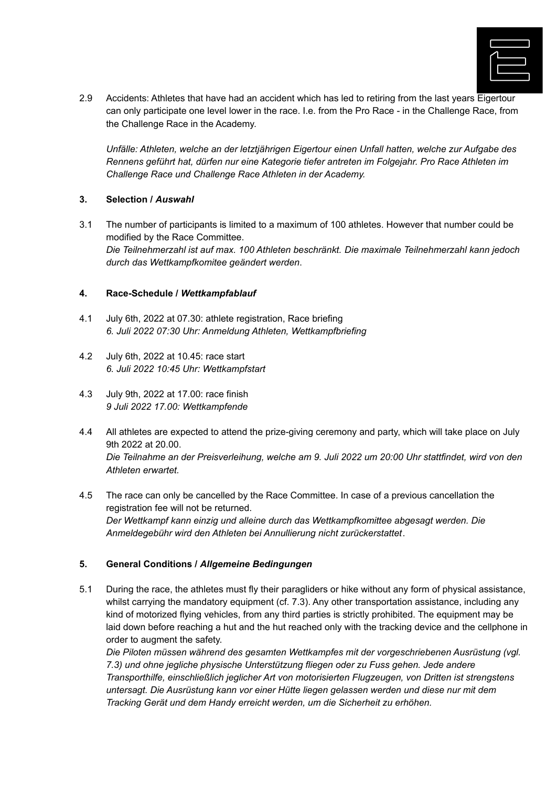

2.9 Accidents: Athletes that have had an accident which has led to retiring from the last years Eigertour can only participate one level lower in the race. I.e. from the Pro Race - in the Challenge Race, from the Challenge Race in the Academy.

*Unfälle: Athleten, welche an der letztjährigen Eigertour einen Unfall hatten, welche zur Aufgabe des Rennens geführt hat, dürfen nur eine Kategorie tiefer antreten im Folgejahr. Pro Race Athleten im Challenge Race und Challenge Race Athleten in der Academy.*

### **3. Selection /** *Auswahl*

3.1 The number of participants is limited to a maximum of 100 athletes. However that number could be modified by the Race Committee. *Die Teilnehmerzahl ist auf max. 100 Athleten beschränkt. Die maximale Teilnehmerzahl kann jedoch durch das Wettkampfkomitee geändert werden*.

#### **4. Race-Schedule /** *Wettkampfablauf*

- 4.1 July 6th, 2022 at 07.30: athlete registration, Race briefing *6. Juli 2022 07:30 Uhr: Anmeldung Athleten, Wettkampfbriefing*
- 4.2 July 6th, 2022 at 10.45: race start *6. Juli 2022 10:45 Uhr: Wettkampfstart*
- 4.3 July 9th, 2022 at 17.00: race finish *9 Juli 2022 17.00: Wettkampfende*
- 4.4 All athletes are expected to attend the prize-giving ceremony and party, which will take place on July 9th 2022 at 20.00. *Die Teilnahme an der Preisverleihung, welche am 9. Juli 2022 um 20:00 Uhr stattfindet, wird von den Athleten erwartet.*
- 4.5 The race can only be cancelled by the Race Committee. In case of a previous cancellation the registration fee will not be returned. *Der Wettkampf kann einzig und alleine durch das Wettkampfkomittee abgesagt werden. Die Anmeldegebühr wird den Athleten bei Annullierung nicht zurückerstattet*.

## **5. General Conditions /** *Allgemeine Bedingungen*

5.1 During the race, the athletes must fly their paragliders or hike without any form of physical assistance, whilst carrying the mandatory equipment (cf. 7.3). Any other transportation assistance, including any kind of motorized flying vehicles, from any third parties is strictly prohibited. The equipment may be laid down before reaching a hut and the hut reached only with the tracking device and the cellphone in order to augment the safety.

*Die Piloten müssen während des gesamten Wettkampfes mit der vorgeschriebenen Ausrüstung (vgl. 7.3) und ohne jegliche physische Unterstützung fliegen oder zu Fuss gehen. Jede andere Transporthilfe, einschließlich jeglicher Art von motorisierten Flugzeugen, von Dritten ist strengstens untersagt. Die Ausrüstung kann vor einer Hütte liegen gelassen werden und diese nur mit dem Tracking Gerät und dem Handy erreicht werden, um die Sicherheit zu erhöhen.*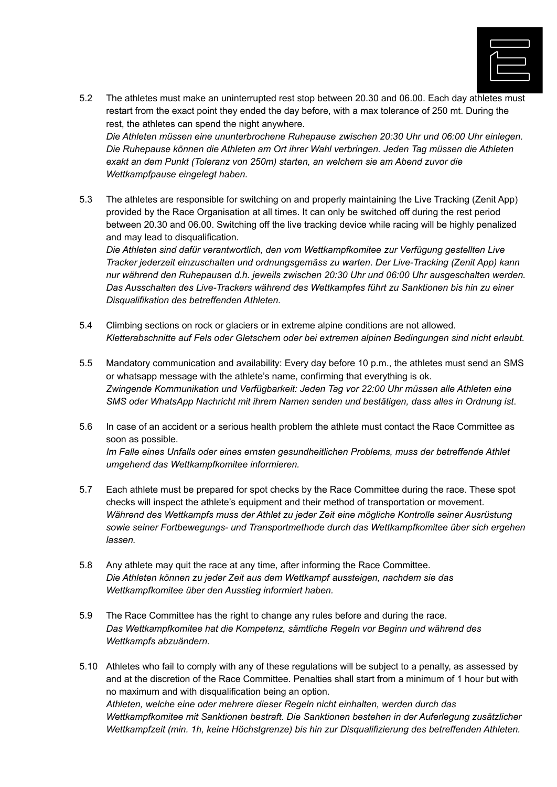

- 5.2 The athletes must make an uninterrupted rest stop between 20.30 and 06.00. Each day athletes must restart from the exact point they ended the day before, with a max tolerance of 250 mt. During the rest, the athletes can spend the night anywhere. *Die Athleten müssen eine ununterbrochene Ruhepause zwischen 20:30 Uhr und 06:00 Uhr einlegen. Die Ruhepause können die Athleten am Ort ihrer Wahl verbringen. Jeden Tag müssen die Athleten exakt an dem Punkt (Toleranz von 250m) starten, an welchem sie am Abend zuvor die Wettkampfpause eingelegt haben.*
- 5.3 The athletes are responsible for switching on and properly maintaining the Live Tracking (Zenit App) provided by the Race Organisation at all times. It can only be switched off during the rest period between 20.30 and 06.00. Switching off the live tracking device while racing will be highly penalized and may lead to disqualification.

*Die Athleten sind dafür verantwortlich, den vom Wettkampfkomitee zur Verfügung gestellten Live Tracker jederzeit einzuschalten und ordnungsgemäss zu warten*. *Der Live-Tracking (Zenit App) kann nur während den Ruhepausen d.h. jeweils zwischen 20:30 Uhr und 06:00 Uhr ausgeschalten werden. Das Ausschalten des Live-Trackers während des Wettkampfes führt zu Sanktionen bis hin zu einer Disqualifikation des betreffenden Athleten.*

- 5.4 Climbing sections on rock or glaciers or in extreme alpine conditions are not allowed. *Kletterabschnitte auf Fels oder Gletschern oder bei extremen alpinen Bedingungen sind nicht erlaubt.*
- 5.5 Mandatory communication and availability: Every day before 10 p.m., the athletes must send an SMS or whatsapp message with the athlete's name, confirming that everything is ok. *Zwingende Kommunikation und Verfügbarkeit: Jeden Tag vor 22:00 Uhr müssen alle Athleten eine SMS oder WhatsApp Nachricht mit ihrem Namen senden und bestätigen, dass alles in Ordnung ist*.
- 5.6 In case of an accident or a serious health problem the athlete must contact the Race Committee as soon as possible. *Im Falle eines Unfalls oder eines ernsten gesundheitlichen Problems, muss der betreffende Athlet umgehend das Wettkampfkomitee informieren.*
- 5.7 Each athlete must be prepared for spot checks by the Race Committee during the race. These spot checks will inspect the athlete's equipment and their method of transportation or movement. *Während des Wettkampfs muss der Athlet zu jeder Zeit eine mögliche Kontrolle seiner Ausrüstung sowie seiner Fortbewegungs- und Transportmethode durch das Wettkampfkomitee über sich ergehen lassen.*
- 5.8 Any athlete may quit the race at any time, after informing the Race Committee. *Die Athleten können zu jeder Zeit aus dem Wettkampf aussteigen, nachdem sie das Wettkampfkomitee über den Ausstieg informiert haben.*
- 5.9 The Race Committee has the right to change any rules before and during the race. *Das Wettkampfkomitee hat die Kompetenz, sämtliche Regeln vor Beginn und während des Wettkampfs abzuändern*.
- 5.10 Athletes who fail to comply with any of these regulations will be subject to a penalty, as assessed by and at the discretion of the Race Committee. Penalties shall start from a minimum of 1 hour but with no maximum and with disqualification being an option. *Athleten, welche eine oder mehrere dieser Regeln nicht einhalten, werden durch das Wettkampfkomitee mit Sanktionen bestraft. Die Sanktionen bestehen in der Auferlegung zusätzlicher Wettkampfzeit (min. 1h, keine Höchstgrenze) bis hin zur Disqualifizierung des betreffenden Athleten.*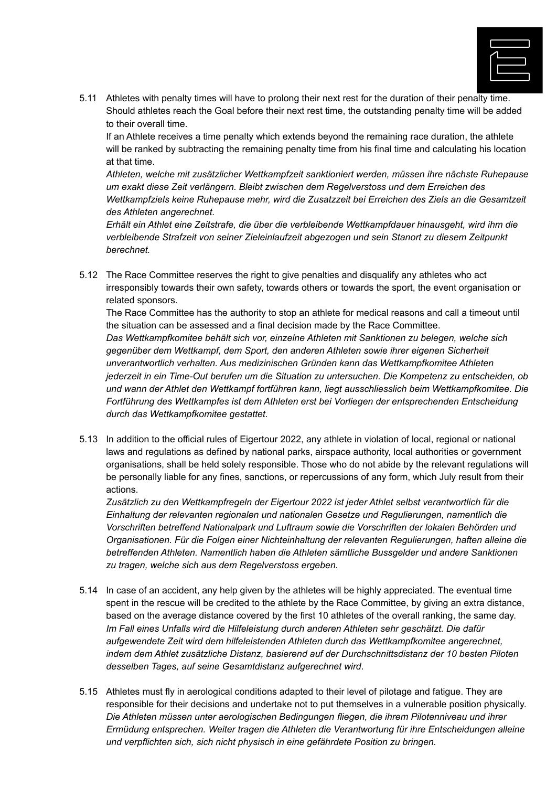

5.11 Athletes with penalty times will have to prolong their next rest for the duration of their penalty time. Should athletes reach the Goal before their next rest time, the outstanding penalty time will be added to their overall time.

If an Athlete receives a time penalty which extends beyond the remaining race duration, the athlete will be ranked by subtracting the remaining penalty time from his final time and calculating his location at that time.

*Athleten, welche mit zusätzlicher Wettkampfzeit sanktioniert werden, müssen ihre nächste Ruhepause um exakt diese Zeit verlängern. Bleibt zwischen dem Regelverstoss und dem Erreichen des Wettkampfziels keine Ruhepause mehr, wird die Zusatzzeit bei Erreichen des Ziels an die Gesamtzeit des Athleten angerechnet.*

*Erhält ein Athlet eine Zeitstrafe, die über die verbleibende Wettkampfdauer hinausgeht, wird ihm die verbleibende Strafzeit von seiner Zieleinlaufzeit abgezogen und sein Stanort zu diesem Zeitpunkt berechnet.*

5.12 The Race Committee reserves the right to give penalties and disqualify any athletes who act irresponsibly towards their own safety, towards others or towards the sport, the event organisation or related sponsors.

The Race Committee has the authority to stop an athlete for medical reasons and call a timeout until the situation can be assessed and a final decision made by the Race Committee. *Das Wettkampfkomitee behält sich vor, einzelne Athleten mit Sanktionen zu belegen, welche sich gegenüber dem Wettkampf, dem Sport, den anderen Athleten sowie ihrer eigenen Sicherheit unverantwortlich verhalten. Aus medizinischen Gründen kann das Wettkampfkomitee Athleten jederzeit in ein Time-Out berufen um die Situation zu untersuchen. Die Kompetenz zu entscheiden, ob und wann der Athlet den Wettkampf fortführen kann, liegt ausschliesslich beim Wettkampfkomitee. Die Fortführung des Wettkampfes ist dem Athleten erst bei Vorliegen der entsprechenden Entscheidung durch das Wettkampfkomitee gestattet.*

5.13 In addition to the official rules of Eigertour 2022, any athlete in violation of local, regional or national laws and regulations as defined by national parks, airspace authority, local authorities or government organisations, shall be held solely responsible. Those who do not abide by the relevant regulations will be personally liable for any fines, sanctions, or repercussions of any form, which July result from their actions.

*Zusätzlich zu den Wettkampfregeln der Eigertour 2022 ist jeder Athlet selbst verantwortlich für die Einhaltung der relevanten regionalen und nationalen Gesetze und Regulierungen, namentlich die Vorschriften betreffend Nationalpark und Luftraum sowie die Vorschriften der lokalen Behörden und Organisationen. Für die Folgen einer Nichteinhaltung der relevanten Regulierungen, haften alleine die betreffenden Athleten. Namentlich haben die Athleten sämtliche Bussgelder und andere Sanktionen zu tragen, welche sich aus dem Regelverstoss ergeben.*

- 5.14 In case of an accident, any help given by the athletes will be highly appreciated. The eventual time spent in the rescue will be credited to the athlete by the Race Committee, by giving an extra distance, based on the average distance covered by the first 10 athletes of the overall ranking, the same day. *Im Fall eines Unfalls wird die Hilfeleistung durch anderen Athleten sehr geschätzt. Die dafür aufgewendete Zeit wird dem hilfeleistenden Athleten durch das Wettkampfkomitee angerechnet, indem dem Athlet zusätzliche Distanz, basierend auf der Durchschnittsdistanz der 10 besten Piloten desselben Tages, auf seine Gesamtdistanz aufgerechnet wird*.
- 5.15 Athletes must fly in aerological conditions adapted to their level of pilotage and fatigue. They are responsible for their decisions and undertake not to put themselves in a vulnerable position physically. *Die Athleten müssen unter aerologischen Bedingungen fliegen, die ihrem Pilotenniveau und ihrer Ermüdung entsprechen. Weiter tragen die Athleten die Verantwortung für ihre Entscheidungen alleine und verpflichten sich, sich nicht physisch in eine gefährdete Position zu bringen.*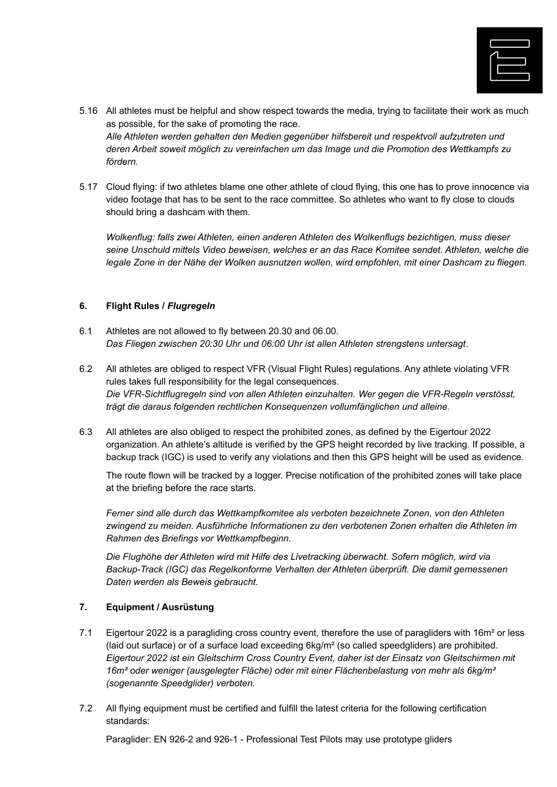

- 5.16 All athletes must be helpful and show respect towards the media, trying to facilitate their work as much as possible, for the sake of promoting the race. *Alle Athleten werden gehalten den Medien gegenüber hilfsbereit und respektvoll aufzutreten und deren Arbeit soweit möglich zu vereinfachen um das Image und die Promotion des Wettkampfs zu fördern.*
- 5.17 Cloud flying: if two athletes blame one other athlete of cloud flying, this one has to prove innocence via video footage that has to be sent to the race committee. So athletes who want to fly close to clouds should bring a dashcam with them.

*Wolkenflug: falls zwei Athleten, einen anderen Athleten des Wolkenflugs bezichtigen, muss dieser seine Unschuld mittels Video beweisen, welches er an das Race Komitee sendet. Athleten, welche die legale Zone in der Nähe der Wolken ausnutzen wollen, wird empfohlen, mit einer Dashcam zu fliegen.*

### **6. Flight Rules /** *Flugregeln*

- 6.1 Athletes are not allowed to fly between 20.30 and 06.00. *Das Fliegen zwischen 20:30 Uhr und 06:00 Uhr ist allen Athleten strengstens untersagt*.
- 6.2 All athletes are obliged to respect VFR (Visual Flight Rules) regulations. Any athlete violating VFR rules takes full responsibility for the legal consequences. *Die VFR-Sichtflugregeln sind von allen Athleten einzuhalten. Wer gegen die VFR-Regeln verstösst, trägt die daraus folgenden rechtlichen Konsequenzen vollumfänglichen und alleine.*
- 6.3 All athletes are also obliged to respect the prohibited zones, as defined by the Eigertour 2022 organization. An athlete's altitude is verified by the GPS height recorded by live tracking. If possible, a backup track (IGC) is used to verify any violations and then this GPS height will be used as evidence.

The route flown will be tracked by a logger. Precise notification of the prohibited zones will take place at the briefing before the race starts.

*Ferner sind alle durch das Wettkampfkomitee als verboten bezeichnete Zonen, von den Athleten zwingend zu meiden. Ausführliche Informationen zu den verbotenen Zonen erhalten die Athleten im Rahmen des Briefings vor Wettkampfbeginn.*

*Die Flughöhe der Athleten wird mit Hilfe des Livetracking überwacht. Sofern möglich, wird via Backup-Track (IGC) das Regelkonforme Verhalten der Athleten überprüft. Die damit gemessenen Daten werden als Beweis gebraucht.*

## **7. Equipment / Ausrüstung**

- 7.1 Eigertour 2022 is a paragliding cross country event, therefore the use of paragliders with 16m<sup>2</sup> or less (laid out surface) or of a surface load exceeding  $6kg/m<sup>2</sup>$  (so called speedgliders) are prohibited. *Eigertour 2022 ist ein Gleitschirm Cross Country Event, daher ist der Einsatz von Gleitschirmen mit 16m² oder weniger (ausgelegter Fläche) oder mit einer Flächenbelastung von mehr als 6kg/m² (sogenannte Speedglider) verboten.*
- 7.2 All flying equipment must be certified and fulfill the latest criteria for the following certification standards:

Paraglider: EN 926-2 and 926-1 - Professional Test Pilots may use prototype gliders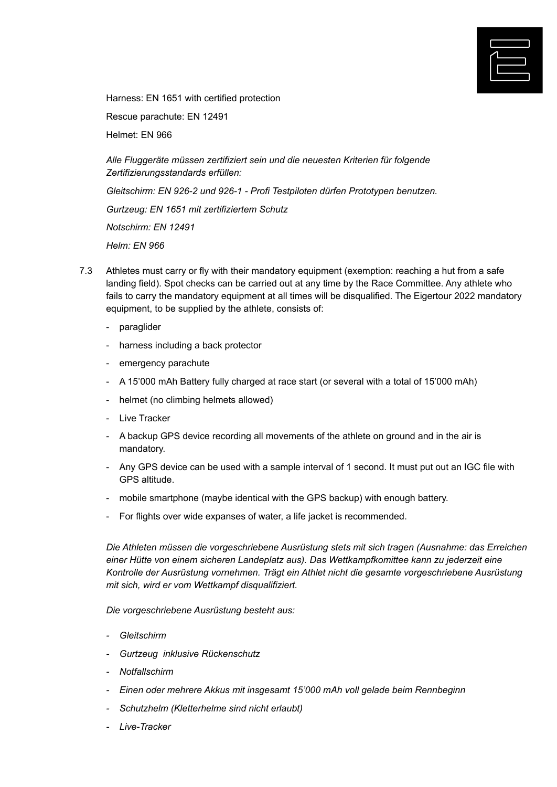

Harness: EN 1651 with certified protection

Rescue parachute: EN 12491

Helmet: EN 966

*Alle Fluggeräte müssen zertifiziert sein und die neuesten Kriterien für folgende Zertifizierungsstandards erfüllen:*

*Gleitschirm: EN 926-2 und 926-1 - Profi Testpiloten dürfen Prototypen benutzen.*

*Gurtzeug: EN 1651 mit zertifiziertem Schutz*

*Notschirm: EN 12491*

*Helm: EN 966*

- 7.3 Athletes must carry or fly with their mandatory equipment (exemption: reaching a hut from a safe landing field). Spot checks can be carried out at any time by the Race Committee. Any athlete who fails to carry the mandatory equipment at all times will be disqualified. The Eigertour 2022 mandatory equipment, to be supplied by the athlete, consists of:
	- paraglider
	- harness including a back protector
	- emergency parachute
	- A 15'000 mAh Battery fully charged at race start (or several with a total of 15'000 mAh)
	- helmet (no climbing helmets allowed)
	- Live Tracker
	- A backup GPS device recording all movements of the athlete on ground and in the air is mandatory.
	- Any GPS device can be used with a sample interval of 1 second. It must put out an IGC file with GPS altitude.
	- mobile smartphone (maybe identical with the GPS backup) with enough battery.
	- For flights over wide expanses of water, a life jacket is recommended.

*Die Athleten müssen die vorgeschriebene Ausrüstung stets mit sich tragen (Ausnahme: das Erreichen einer Hütte von einem sicheren Landeplatz aus). Das Wettkampfkomittee kann zu jederzeit eine Kontrolle der Ausrüstung vornehmen. Trägt ein Athlet nicht die gesamte vorgeschriebene Ausrüstung mit sich, wird er vom Wettkampf disqualifiziert.*

*Die vorgeschriebene Ausrüstung besteht aus:*

- *- Gleitschirm*
- *- Gurtzeug inklusive Rückenschutz*
- *- Notfallschirm*
- *- Einen oder mehrere Akkus mit insgesamt 15'000 mAh voll gelade beim Rennbeginn*
- *- Schutzhelm (Kletterhelme sind nicht erlaubt)*
- *- Live-Tracker*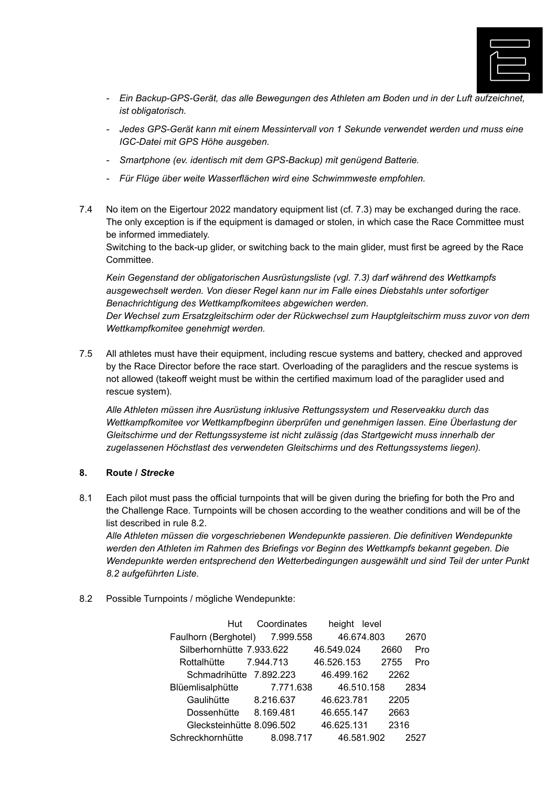

- *- Ein Backup-GPS-Gerät, das alle Bewegungen des Athleten am Boden und in der Luft aufzeichnet, ist obligatorisch.*
- *- Jedes GPS-Gerät kann mit einem Messintervall von 1 Sekunde verwendet werden und muss eine IGC-Datei mit GPS Höhe ausgeben.*
- *- Smartphone (ev. identisch mit dem GPS-Backup) mit genügend Batterie.*
- *- Für Flüge über weite Wasserflächen wird eine Schwimmweste empfohlen.*
- 7.4 No item on the Eigertour 2022 mandatory equipment list (cf. 7.3) may be exchanged during the race. The only exception is if the equipment is damaged or stolen, in which case the Race Committee must be informed immediately.

Switching to the back-up glider, or switching back to the main glider, must first be agreed by the Race Committee.

*Kein Gegenstand der obligatorischen Ausrüstungsliste (vgl. 7.3) darf während des Wettkampfs ausgewechselt werden. Von dieser Regel kann nur im Falle eines Diebstahls unter sofortiger Benachrichtigung des Wettkampfkomitees abgewichen werden.*

*Der Wechsel zum Ersatzgleitschirm oder der Rückwechsel zum Hauptgleitschirm muss zuvor von dem Wettkampfkomitee genehmigt werden.*

7.5 All athletes must have their equipment, including rescue systems and battery, checked and approved by the Race Director before the race start. Overloading of the paragliders and the rescue systems is not allowed (takeoff weight must be within the certified maximum load of the paraglider used and rescue system).

*Alle Athleten müssen ihre Ausrüstung inklusive Rettungssystem und Reserveakku durch das Wettkampfkomitee vor Wettkampfbeginn überprüfen und genehmigen lassen*. *Eine Überlastung der Gleitschirme und der Rettungssysteme ist nicht zulässig (das Startgewicht muss innerhalb der zugelassenen Höchstlast des verwendeten Gleitschirms und des Rettungssystems liegen).*

#### **8. Route /** *Strecke*

8.1 Each pilot must pass the official turnpoints that will be given during the briefing for both the Pro and the Challenge Race. Turnpoints will be chosen according to the weather conditions and will be of the list described in rule 8.2.

*Alle Athleten müssen die vorgeschriebenen Wendepunkte passieren. Die definitiven Wendepunkte werden den Athleten im Rahmen des Briefings vor Beginn des Wettkampfs bekannt gegeben. Die Wendepunkte werden entsprechend den Wetterbedingungen ausgewählt und sind Teil der unter Punkt 8.2 aufgeführten Liste.*

## 8.2 Possible Turnpoints / mögliche Wendepunkte:

| Hut                            | Coordinates | height     | level      |      |
|--------------------------------|-------------|------------|------------|------|
| Faulhorn (Berghotel) 7.999.558 |             |            | 46.674.803 | 2670 |
| Silberhornhütte 7.933.622      |             | 46.549.024 | 2660       | Pro  |
| Rottalhütte                    | 7.944.713   | 46.526.153 | 2755       | Pro  |
| Schmadrihütte 7.892.223        |             | 46.499.162 | 2262       |      |
| Blüemlisalphütte               | 7.771.638   |            | 46.510.158 | 2834 |
| Gaulihütte                     | 8.216.637   | 46.623.781 | 2205       |      |
| Dossenhütte                    | 8.169.481   | 46.655.147 | 2663       |      |
| Glecksteinhütte 8.096.502      |             | 46.625.131 | 2316       |      |
| Schreckhornhütte               | 8.098.717   |            | 46.581.902 | 2527 |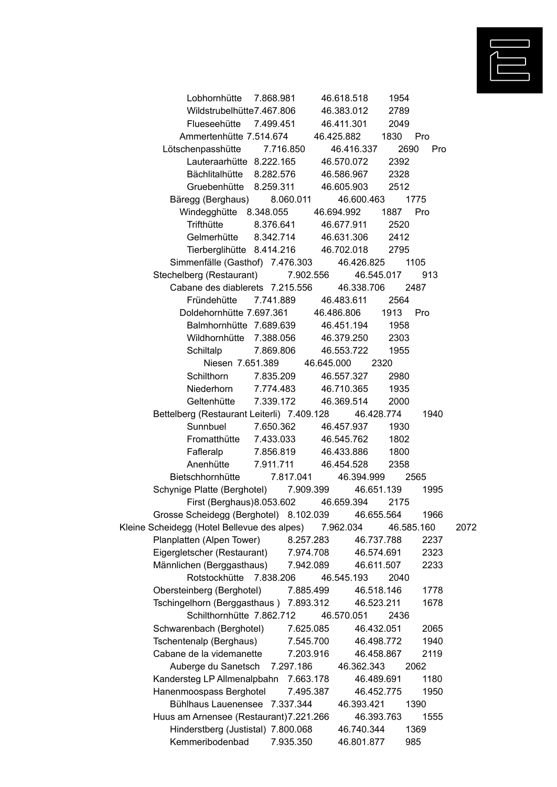

| Lobhornhütte 7.868.981                                |                             | 46.618.518      | 1954               |            |      |
|-------------------------------------------------------|-----------------------------|-----------------|--------------------|------------|------|
| Wildstrubelhütte7.467.806                             |                             | 46.383.012      | 2789               |            |      |
| Flueseehütte 7.499.451                                |                             | 46.411.301      | 2049               |            |      |
| Ammertenhütte 7.514.674  46.425.882  1830  Pro        |                             |                 |                    |            |      |
| Lötschenpasshütte 7.716.850                           |                             |                 | 46.416.337<br>2690 | Pro        |      |
| Lauteraarhütte 8.222.165 46.570.072                   |                             |                 | 2392               |            |      |
| Bächlitalhütte 8.282.576 46.586.967 2328              |                             |                 |                    |            |      |
| Gruebenhütte 8.259.311 46.605.903                     |                             |                 | 2512               |            |      |
| Bäregg (Berghaus) 8.060.011                           |                             |                 | 46.600.463 1775    |            |      |
| Windegghütte 8.348.055 46.694.992 1887 Pro            |                             |                 |                    |            |      |
| Trifthütte                                            | 8.376.641 46.677.911 2520   |                 |                    |            |      |
|                                                       |                             |                 |                    |            |      |
| Gelmerhütte 8.342.714 46.631.306 2412                 |                             |                 |                    |            |      |
| Tierberglihütte 8.414.216 46.702.018 2795             |                             |                 |                    |            |      |
| Simmenfälle (Gasthof) 7.476.303                       |                             |                 | 46.426.825         | 1105       |      |
| Stechelberg (Restaurant) 7.902.556                    |                             |                 | 46.545.017         | 913        |      |
| Cabane des diablerets 7.215.556 46.338.706            |                             |                 |                    | 2487       |      |
| Fründehütte 7.741.889                                 |                             | 46.483.611      | 2564               |            |      |
| Doldehornhütte 7.697.361 46.486.806 1913 Pro          |                             |                 |                    |            |      |
| Balmhornhütte 7.689.639 46.451.194                    |                             |                 | 1958               |            |      |
| Wildhornhütte 7.388.056                               |                             | 46.379.250 2303 |                    |            |      |
| Schiltalp                                             | 7.869.806 46.553.722 1955   |                 |                    |            |      |
|                                                       | Niesen 7.651.389 46.645.000 |                 | 2320               |            |      |
| Schilthorn                                            | 7.835.209                   | 46.557.327      | 2980               |            |      |
| Niederhorn 7.774.483 46.710.365                       |                             |                 | 1935               |            |      |
| Geltenhütte 7.339.172                                 |                             | 46.369.514      | 2000               |            |      |
| Bettelberg (Restaurant Leiterli) 7.409.128 46.428.774 |                             |                 |                    | 1940       |      |
| Sunnbuel                                              | 7.650.362                   | 46.457.937      | 1930               |            |      |
| Fromatthütte 7.433.033 46.545.762                     |                             |                 | 1802               |            |      |
| Fafleralp 7.856.819                                   |                             | 46.433.886      | 1800               |            |      |
| Anenhütte 7.911.711 46.454.528                        |                             |                 | 2358               |            |      |
| Bietschhornhütte 7.817.041                            |                             |                 | 46.394.999         | 2565       |      |
| Schynige Platte (Berghotel) 7.909.399 46.651.139      |                             |                 |                    | 1995       |      |
| First (Berghaus) 8.053.602 46.659.394                 |                             |                 | 2175               |            |      |
|                                                       |                             |                 |                    |            |      |
| Grosse Scheidegg (Berghotel) 8.102.039                |                             |                 | 46.655.564         | 1966       |      |
| Kleine Scheidegg (Hotel Bellevue des alpes)           |                             | 7.962.034       |                    | 46.585.160 | 2072 |
| Planplatten (Alpen Tower)                             |                             | 8.257.283       | 46.737.788         | 2237       |      |
| Eigergletscher (Restaurant)                           |                             | 7.974.708       | 46.574.691         | 2323       |      |
| Männlichen (Berggasthaus)                             |                             | 7.942.089       | 46.611.507         | 2233       |      |
| Rotstockhütte 7.838.206                               |                             | 46.545.193      | 2040               |            |      |
| Obersteinberg (Berghotel)                             |                             | 7.885.499       | 46.518.146         | 1778       |      |
| Tschingelhorn (Berggasthaus) 7.893.312                |                             |                 | 46.523.211         | 1678       |      |
| Schilthornhütte 7.862.712                             |                             | 46.570.051      | 2436               |            |      |
| Schwarenbach (Berghotel)                              |                             | 7.625.085       | 46.432.051         | 2065       |      |
| Tschentenalp (Berghaus)                               |                             | 7.545.700       | 46.498.772         | 1940       |      |
| Cabane de la videmanette                              |                             | 7.203.916       | 46.458.867         | 2119       |      |
| Auberge du Sanetsch                                   | 7.297.186                   |                 | 46.362.343         | 2062       |      |
| Kandersteg LP Allmenalpbahn                           |                             | 7.663.178       | 46.489.691         | 1180       |      |
| Hanenmoospass Berghotel                               |                             | 7.495.387       | 46.452.775         | 1950       |      |
| Bühlhaus Lauenensee 7.337.344                         |                             |                 | 46.393.421         | 1390       |      |
| Huus am Arnensee (Restaurant) 7.221.266               |                             |                 | 46.393.763         | 1555       |      |
| Hinderstberg (Justistal) 7.800.068                    |                             |                 | 46.740.344         | 1369       |      |
| Kemmeribodenbad                                       | 7.935.350                   |                 | 46.801.877         | 985        |      |
|                                                       |                             |                 |                    |            |      |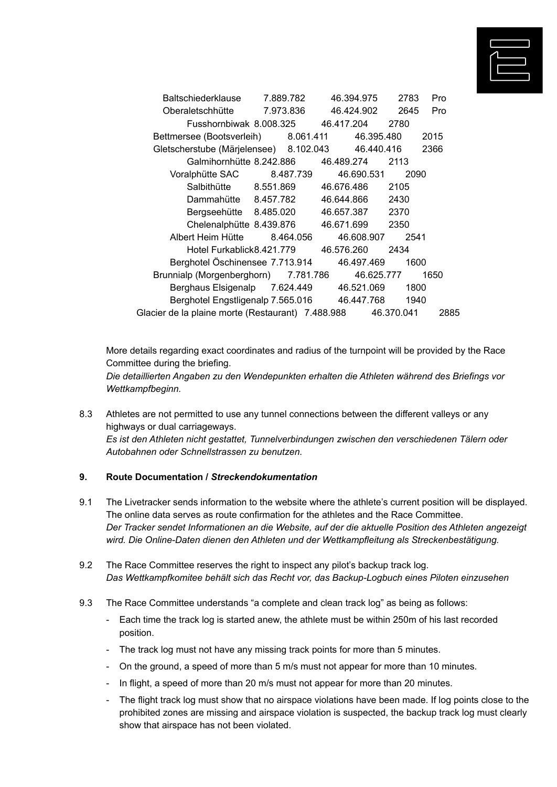

| Baltschiederklause                                | 7.889.782 | 46.394.975 | 2783       | Pro  |
|---------------------------------------------------|-----------|------------|------------|------|
| Oberaletschhütte                                  | 7.973.836 | 46.424.902 | 2645       | Pro  |
| Fusshornbiwak 8.008.325                           |           | 46.417.204 | 2780       |      |
| Bettmersee (Bootsverleih) 8.061.411               |           | 46.395.480 |            | 2015 |
| Gletscherstube (Märjelensee) 8.102.043            |           |            | 46.440.416 | 2366 |
| Galmihornhütte 8.242.886                          |           | 46.489.274 | 2113       |      |
| Voralphütte SAC                                   | 8.487.739 | 46.690.531 | 2090       |      |
| Salbithütte 8.551.869                             |           | 46.676.486 | 2105       |      |
| Dammahütte 8.457.782                              |           | 46.644.866 | 2430       |      |
| Bergseehütte 8.485.020                            |           | 46.657.387 | 2370       |      |
| Chelenalphütte 8.439.876                          |           | 46.671.699 | 2350       |      |
| Albert Heim Hütte                                 | 8.464.056 | 46.608.907 | 2541       |      |
| Hotel Furkablick8.421.779                         |           | 46.576.260 | 2434       |      |
| Berghotel Öschinensee 7.713.914                   |           | 46.497.469 | 1600       |      |
| Brunnialp (Morgenberghorn) 7.781.786              |           | 46.625.777 |            | 1650 |
| Berghaus Elsigenalp 7.624.449                     |           | 46.521.069 | 1800       |      |
| Berghotel Engstligenalp 7.565.016                 |           | 46.447.768 | 1940       |      |
| Glacier de la plaine morte (Restaurant) 7.488.988 |           |            | 46.370.041 | 2885 |

More details regarding exact coordinates and radius of the turnpoint will be provided by the Race Committee during the briefing.

*Die detaillierten Angaben zu den Wendepunkten erhalten die Athleten während des Briefings vor Wettkampfbeginn.*

8.3 Athletes are not permitted to use any tunnel connections between the different valleys or any highways or dual carriageways. *Es ist den Athleten nicht gestattet, Tunnelverbindungen zwischen den verschiedenen Tälern oder Autobahnen oder Schnellstrassen zu benutzen.*

#### **9. Route Documentation /** *Streckendokumentation*

- 9.1 The Livetracker sends information to the website where the athlete's current position will be displayed. The online data serves as route confirmation for the athletes and the Race Committee. *Der Tracker sendet Informationen an die Website, auf der die aktuelle Position des Athleten angezeigt wird. Die Online-Daten dienen den Athleten und der Wettkampfleitung als Streckenbestätigung.*
- 9.2 The Race Committee reserves the right to inspect any pilot's backup track log. *Das Wettkampfkomitee behält sich das Recht vor, das Backup-Logbuch eines Piloten einzusehen*
- 9.3 The Race Committee understands "a complete and clean track log" as being as follows:
	- Each time the track log is started anew, the athlete must be within 250m of his last recorded position.
	- The track log must not have any missing track points for more than 5 minutes.
	- On the ground, a speed of more than 5 m/s must not appear for more than 10 minutes.
	- In flight, a speed of more than 20 m/s must not appear for more than 20 minutes.
	- The flight track log must show that no airspace violations have been made. If log points close to the prohibited zones are missing and airspace violation is suspected, the backup track log must clearly show that airspace has not been violated.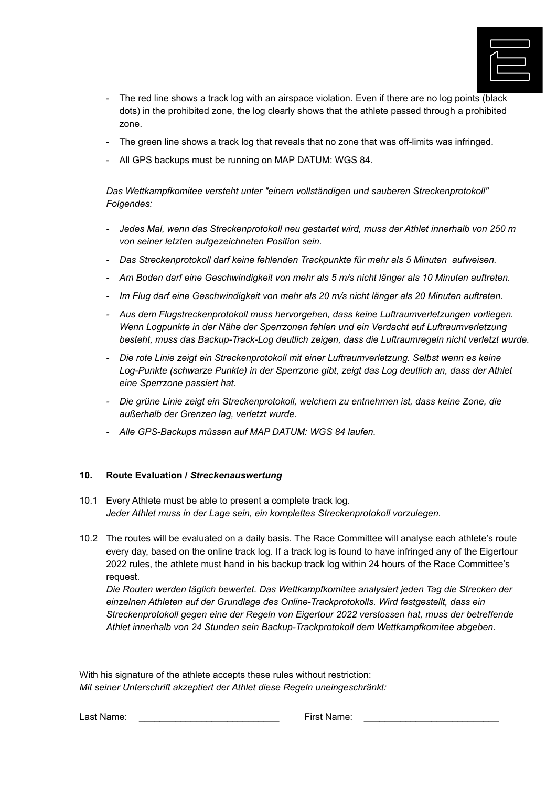

- The red line shows a track log with an airspace violation. Even if there are no log points (black dots) in the prohibited zone, the log clearly shows that the athlete passed through a prohibited zone.
- The green line shows a track log that reveals that no zone that was off-limits was infringed.
- All GPS backups must be running on MAP DATUM: WGS 84.

*Das Wettkampfkomitee versteht unter "einem vollständigen und sauberen Streckenprotokoll" Folgendes:*

- *- Jedes Mal, wenn das Streckenprotokoll neu gestartet wird, muss der Athlet innerhalb von 250 m von seiner letzten aufgezeichneten Position sein.*
- *- Das Streckenprotokoll darf keine fehlenden Trackpunkte für mehr als 5 Minuten aufweisen.*
- *- Am Boden darf eine Geschwindigkeit von mehr als 5 m/s nicht länger als 10 Minuten auftreten.*
- *- Im Flug darf eine Geschwindigkeit von mehr als 20 m/s nicht länger als 20 Minuten auftreten.*
- *- Aus dem Flugstreckenprotokoll muss hervorgehen, dass keine Luftraumverletzungen vorliegen. Wenn Logpunkte in der Nähe der Sperrzonen fehlen und ein Verdacht auf Luftraumverletzung besteht, muss das Backup-Track-Log deutlich zeigen, dass die Luftraumregeln nicht verletzt wurde.*
- *- Die rote Linie zeigt ein Streckenprotokoll mit einer Luftraumverletzung. Selbst wenn es keine Log-Punkte (schwarze Punkte) in der Sperrzone gibt, zeigt das Log deutlich an, dass der Athlet eine Sperrzone passiert hat.*
- *- Die grüne Linie zeigt ein Streckenprotokoll, welchem zu entnehmen ist, dass keine Zone, die außerhalb der Grenzen lag, verletzt wurde.*
- *- Alle GPS-Backups müssen auf MAP DATUM: WGS 84 laufen.*

#### **10. Route Evaluation /** *Streckenauswertung*

- 10.1 Every Athlete must be able to present a complete track log. *Jeder Athlet muss in der Lage sein, ein komplettes Streckenprotokoll vorzulegen.*
- 10.2 The routes will be evaluated on a daily basis. The Race Committee will analyse each athlete's route every day, based on the online track log. If a track log is found to have infringed any of the Eigertour 2022 rules, the athlete must hand in his backup track log within 24 hours of the Race Committee's request.

*Die Routen werden täglich bewertet. Das Wettkampfkomitee analysiert jeden Tag die Strecken der einzelnen Athleten auf der Grundlage des Online-Trackprotokolls. Wird festgestellt, dass ein Streckenprotokoll gegen eine der Regeln von Eigertour 2022 verstossen hat, muss der betreffende Athlet innerhalb von 24 Stunden sein Backup-Trackprotokoll dem Wettkampfkomitee abgeben.*

With his signature of the athlete accepts these rules without restriction: *Mit seiner Unterschrift akzeptiert der Athlet diese Regeln uneingeschränkt:*

Last Name: <u>Last Name:</u> Last Name: **Last Name:** \_\_\_\_\_\_\_\_\_\_\_\_\_\_\_\_\_\_\_\_\_\_\_\_\_\_\_\_\_\_\_\_\_